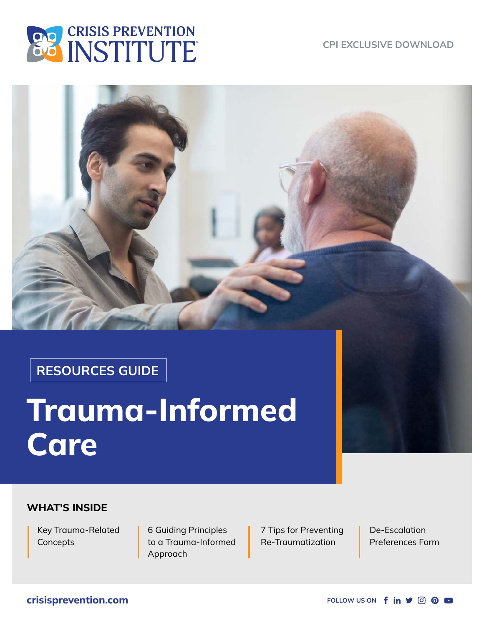

**CPI EXCLUSIVE DOWNLOAD** 



**RESOURCES GUIDE** 

# **Trauma-Informed Care**

### **WHAT'S INSIDE**

Key Trauma-Related **Concepts** 

6 Guiding Principles to a Trauma-Informed Approach

7 Tips for Preventing Re-Traumatization

De-Escalation Preferences Form

### **[crisisprevention.com](https://www.crisisprevention.com?utm_source=tic-he-resource&utm_medium=cpi-resource&utm_campaign=resource-download-links )**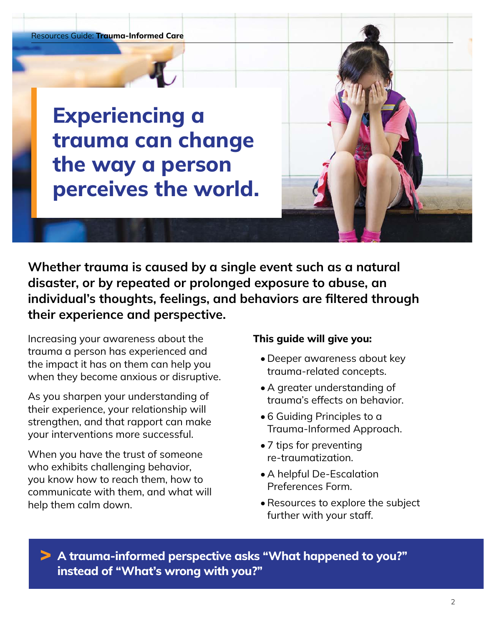**Experiencing a trauma can change the way a person perceives the world.**



**Whether trauma is caused by a single event such as a natural disaster, or by repeated or prolonged exposure to abuse, an individual's thoughts, feelings, and behaviors are filtered through their experience and perspective.** 

Increasing your awareness about the trauma a person has experienced and the impact it has on them can help you when they become anxious or disruptive.

As you sharpen your understanding of their experience, your relationship will strengthen, and that rapport can make your interventions more successful.

When you have the trust of someone who exhibits challenging behavior, you know how to reach them, how to communicate with them, and what will help them calm down.

### **This guide will give you:**

- Deeper awareness about key trauma-related concepts.
- A greater understanding of trauma's effects on behavior.
- 6 Guiding Principles to a Trauma-Informed Approach.
- 7 tips for preventing re-traumatization.
- A helpful De-Escalation Preferences Form.
- •Resources to explore the subject further with your staff.

**A trauma-informed perspective asks "What happened to you?" instead of "What's wrong with you?"**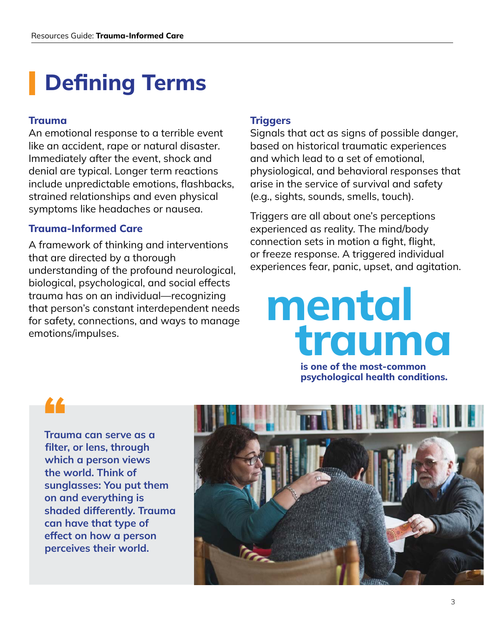# **Defining Terms**

### **Trauma**

An emotional response to a terrible event like an accident, rape or natural disaster. Immediately after the event, shock and denial are typical. Longer term reactions include unpredictable emotions, flashbacks, strained relationships and even physical symptoms like headaches or nausea.

# **Trauma-Informed Care**

A framework of thinking and interventions that are directed by a thorough understanding of the profound neurological, biological, psychological, and social effects trauma has on an individual—recognizing that person's constant interdependent needs for safety, connections, and ways to manage emotions/impulses.

### **Triggers**

Signals that act as signs of possible danger, based on historical traumatic experiences and which lead to a set of emotional, physiological, and behavioral responses that arise in the service of survival and safety (e.g., sights, sounds, smells, touch).

Triggers are all about one's perceptions experienced as reality. The mind/body connection sets in motion a fight, flight, or freeze response. A triggered individual experiences fear, panic, upset, and agitation.

# **mental trauma**

**is one of the most-common psychological health conditions.** 

# 44

**Trauma can serve as a filter, or lens, through which a person views the world. Think of sunglasses: You put them on and everything is shaded differently. Trauma can have that type of effect on how a person perceives their world.**

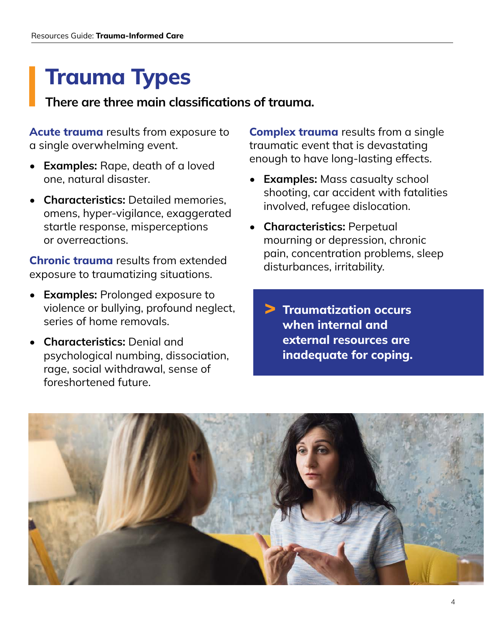# **Trauma Types**

# **There are three main classifications of trauma.**

**Acute trauma** results from exposure to a single overwhelming event.

- **• Examples:** Rape, death of a loved one, natural disaster.
- **• Characteristics:** Detailed memories, omens, hyper-vigilance, exaggerated startle response, misperceptions or overreactions.

**Chronic trauma** results from extended exposure to traumatizing situations.

- **• Examples:** Prolonged exposure to violence or bullying, profound neglect, series of home removals.
- **• Characteristics:** Denial and psychological numbing, dissociation, rage, social withdrawal, sense of foreshortened future.

**Complex trauma** results from a single traumatic event that is devastating enough to have long-lasting effects.

- **• Examples:** Mass casualty school shooting, car accident with fatalities involved, refugee dislocation.
- **• Characteristics:** Perpetual mourning or depression, chronic pain, concentration problems, sleep disturbances, irritability.
	- **Traumatization occurs when internal and external resources are inadequate for coping.**

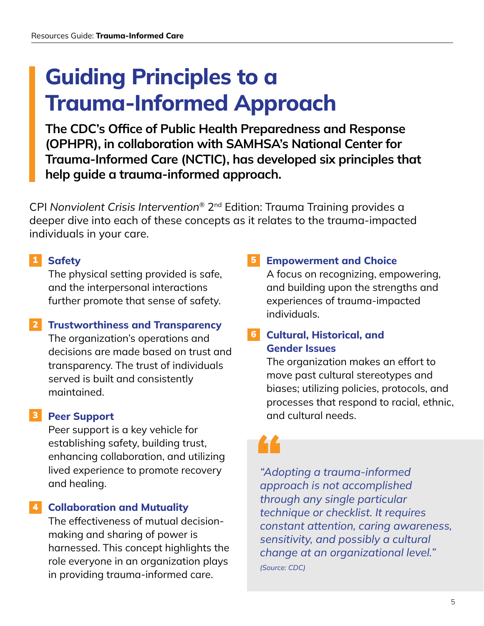# **Guiding Principles to a Trauma-Informed Approach**

**The CDC's Office of Public Health Preparedness and Response (OPHPR), in collaboration with SAMHSA's National Center for Trauma-Informed Care (NCTIC), has developed six principles that help guide a trauma-informed approach.** 

CPI *Nonviolent Crisis Intervention*® 2nd Edition: Trauma Training provides a deeper dive into each of these concepts as it relates to the trauma-impacted individuals in your care.

# 1 **Safety**

The physical setting provided is safe, and the interpersonal interactions further promote that sense of safety.

# 2 **Trustworthiness and Transparency**

The organization's operations and decisions are made based on trust and transparency. The trust of individuals served is built and consistently maintained.

# 3 **Peer Support**

Peer support is a key vehicle for establishing safety, building trust, enhancing collaboration, and utilizing lived experience to promote recovery and healing.

# 4 **Collaboration and Mutuality**

The effectiveness of mutual decisionmaking and sharing of power is harnessed. This concept highlights the role everyone in an organization plays in providing trauma-informed care.

# 5 **Empowerment and Choice**

A focus on recognizing, empowering, and building upon the strengths and experiences of trauma-impacted individuals.

# 6 **Cultural, Historical, and Gender Issues**

The organization makes an effort to move past cultural stereotypes and biases; utilizing policies, protocols, and processes that respond to racial, ethnic, and cultural needs.

*"Adopting a trauma-informed approach is not accomplished through any single particular technique or checklist. It requires constant attention, caring awareness, sensitivity, and possibly a cultural change at an organizational level." (Source: CDC)*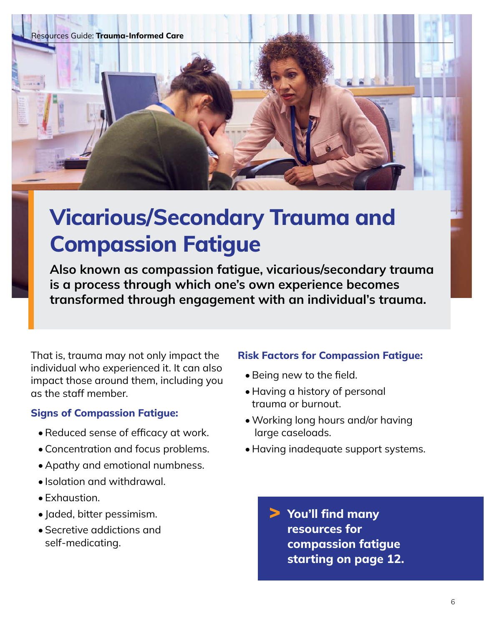Resources Guide: **Trauma-Informed Care**



# **Vicarious/Secondary Trauma and Compassion Fatigue**

**Also known as compassion fatigue, vicarious/secondary trauma is a process through which one's own experience becomes transformed through engagement with an individual's trauma.** 

That is, trauma may not only impact the individual who experienced it. It can also impact those around them, including you as the staff member.

### **Signs of Compassion Fatigue:**

- •Reduced sense of efficacy at work.
- •Concentration and focus problems.
- Apathy and emotional numbness.
- Isolation and withdrawal.
- Exhaustion.
- Jaded, bitter pessimism.
- Secretive addictions and self-medicating.

### **Risk Factors for Compassion Fatigue:**

- •Being new to the field.
- Having a history of personal trauma or burnout.
- •Working long hours and/or having large caseloads.
- Having inadequate support systems.
	- **You'll find many resources for compassion fatigue starting on page 12.**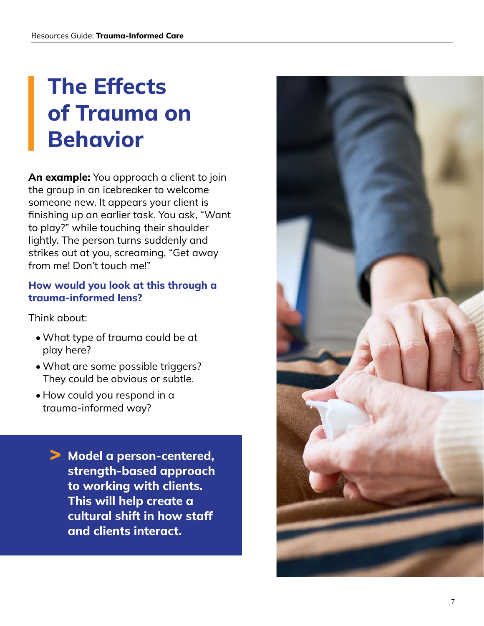# **The Effects of Trauma on Behavior**

**An example:** You approach a client to join the group in an icebreaker to welcome someone new. It appears your client is finishing up an earlier task. You ask, "Want to play?" while touching their shoulder lightly. The person turns suddenly and strikes out at you, screaming, "Get away from me! Don't touch me!"

# **How would you look at this through a trauma-informed lens?**

Think about:

- •What type of trauma could be at play here?
- •What are some possible triggers? They could be obvious or subtle.
- How could you respond in a trauma-informed way?

**Model a person-centered, strength-based approach to working with clients. This will help create a cultural shift in how staff and clients interact.**

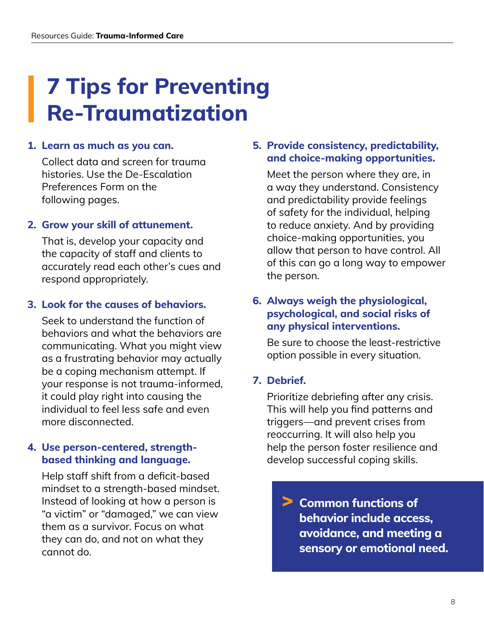# **7 Tips for Preventing Re-Traumatization**

### **1. Learn as much as you can.**

Collect data and screen for trauma histories. Use the De-Escalation Preferences Form on the following pages.

# **2. Grow your skill of attunement.**

That is, develop your capacity and the capacity of staff and clients to accurately read each other's cues and respond appropriately.

# **3. Look for the causes of behaviors.**

Seek to understand the function of behaviors and what the behaviors are communicating. What you might view as a frustrating behavior may actually be a coping mechanism attempt. If your response is not trauma-informed, it could play right into causing the individual to feel less safe and even more disconnected.

# **4. Use person-centered, strengthbased thinking and language.**

Help staff shift from a deficit-based mindset to a strength-based mindset. Instead of looking at how a person is "a victim" or "damaged," we can view them as a survivor. Focus on what they can do, and not on what they cannot do.

### **5. Provide consistency, predictability, and choice-making opportunities.**

Meet the person where they are, in a way they understand. Consistency and predictability provide feelings of safety for the individual, helping to reduce anxiety. And by providing choice-making opportunities, you allow that person to have control. All of this can go a long way to empower the person.

# **6. Always weigh the physiological, psychological, and social risks of any physical interventions.**

Be sure to choose the least-restrictive option possible in every situation.

### **7. Debrief.**

Prioritize debriefing after any crisis. This will help you find patterns and triggers—and prevent crises from reoccurring. It will also help you help the person foster resilience and develop successful coping skills.

**Common functions of behavior include access, avoidance, and meeting a sensory or emotional need.**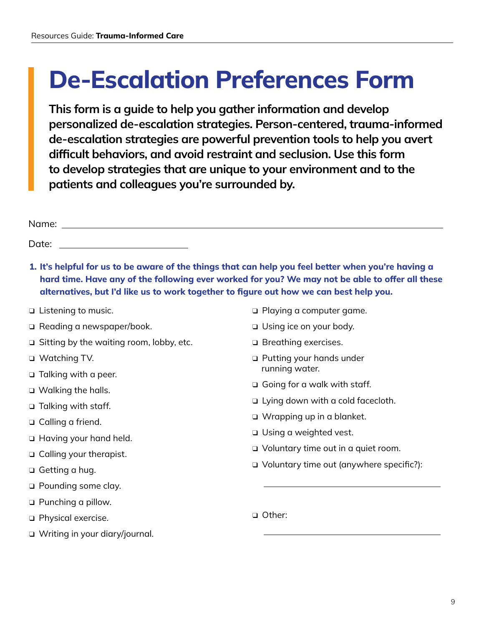# **De-Escalation Preferences Form**

**This form is a guide to help you gather information and develop personalized de-escalation strategies. Person-centered, trauma-informed de-escalation strategies are powerful prevention tools to help you avert difficult behaviors, and avoid restraint and seclusion. Use this form to develop strategies that are unique to your environment and to the patients and colleagues you're surrounded by.** 

| N 1<br>Nlama:<br>HC. |  |  |  |
|----------------------|--|--|--|
|                      |  |  |  |

Date:

**1. It's helpful for us to be aware of the things that can help you feel better when you're having a hard time. Have any of the following ever worked for you? We may not be able to offer all these alternatives, but I'd like us to work together to figure out how we can best help you.**

- $\Box$  Listening to music.
- □ Reading a newspaper/book.
- □ Sitting by the waiting room, lobby, etc.
- **□** Watching TV.
- $\Box$  Talking with a peer.
- □ Walking the halls.
- □ Talking with staff.
- □ Calling a friend.
- □ Having your hand held.
- □ Calling your therapist.
- $\Box$  Getting a hug.
- □ Pounding some clay.
- **□** Punching a pillow.
- **Q** Physical exercise.
- □ Writing in your diary/journal.
- □ Playing a computer game.
- □ Using ice on your body.
- **□** Breathing exercises.
- q Putting your hands under running water.
- $\Box$  Going for a walk with staff.
- $\Box$  Lying down with a cold facecloth.
- □ Wrapping up in a blanket.
- **□** Using a weighted vest.
- q Voluntary time out in a quiet room.
- q Voluntary time out (anywhere specific?):
- q Other: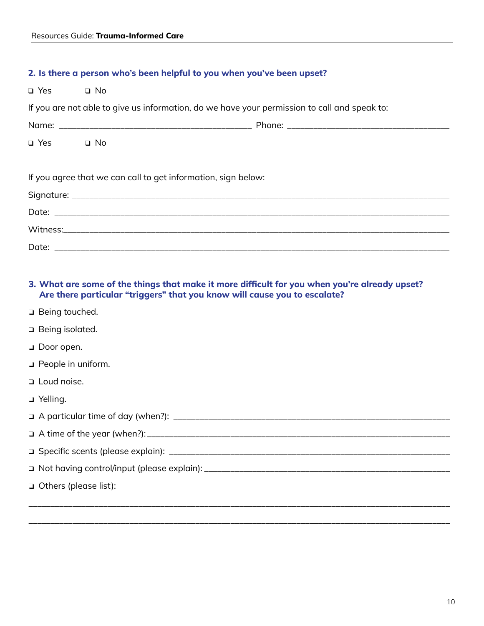#### **2. Is there a person who's been helpful to you when you've been upset?**

| $\Box$ Yes $\Box$ No                                                                         |  |  |  |  |  |  |  |
|----------------------------------------------------------------------------------------------|--|--|--|--|--|--|--|
| If you are not able to give us information, do we have your permission to call and speak to: |  |  |  |  |  |  |  |
|                                                                                              |  |  |  |  |  |  |  |
| $\Box$ Yes $\Box$ No                                                                         |  |  |  |  |  |  |  |
|                                                                                              |  |  |  |  |  |  |  |
| If you agree that we can call to get information, sign below:                                |  |  |  |  |  |  |  |
|                                                                                              |  |  |  |  |  |  |  |
|                                                                                              |  |  |  |  |  |  |  |
|                                                                                              |  |  |  |  |  |  |  |
|                                                                                              |  |  |  |  |  |  |  |

#### **3. What are some of the things that make it more difficult for you when you're already upset? Are there particular "triggers" that you know will cause you to escalate?**

\_\_\_\_\_\_\_\_\_\_\_\_\_\_\_\_\_\_\_\_\_\_\_\_\_\_\_\_\_\_\_\_\_\_\_\_\_\_\_\_\_\_\_\_\_\_\_\_\_\_\_\_\_\_\_\_\_\_\_\_\_\_\_\_\_\_\_\_\_\_\_\_\_\_\_\_\_\_\_\_\_\_\_\_\_\_\_\_\_\_\_\_\_\_\_\_

- □ Being touched.
- □ Being isolated.
- □ Door open.
- **Q** People in uniform.
- **Q** Loud noise.
- □ Yelling.

q A particular time of day (when?): \_\_\_\_\_\_\_\_\_\_\_\_\_\_\_\_\_\_\_\_\_\_\_\_\_\_\_\_\_\_\_\_\_\_\_\_\_\_\_\_\_\_\_\_\_\_\_\_\_\_\_\_\_\_\_\_\_\_\_\_\_\_\_

- q A time of the year (when?): \_\_\_\_\_\_\_\_\_\_\_\_\_\_\_\_\_\_\_\_\_\_\_\_\_\_\_\_\_\_\_\_\_\_\_\_\_\_\_\_\_\_\_\_\_\_\_\_\_\_\_\_\_\_\_\_\_\_\_\_\_\_\_\_\_\_\_\_\_
- q Specific scents (please explain): \_\_\_\_\_\_\_\_\_\_\_\_\_\_\_\_\_\_\_\_\_\_\_\_\_\_\_\_\_\_\_\_\_\_\_\_\_\_\_\_\_\_\_\_\_\_\_\_\_\_\_\_\_\_\_\_\_\_\_\_\_\_\_\_
- q Not having control/input (please explain): \_\_\_\_\_\_\_\_\_\_\_\_\_\_\_\_\_\_\_\_\_\_\_\_\_\_\_\_\_\_\_\_\_\_\_\_\_\_\_\_\_\_\_\_\_\_\_\_\_\_\_\_\_\_\_\_
- q Others (please list):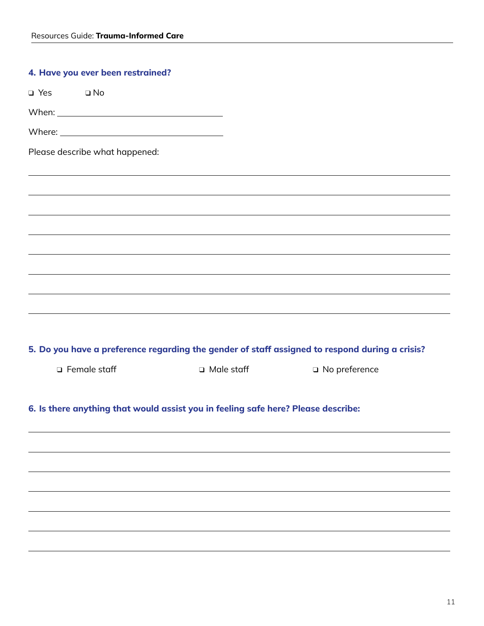| 4. Have you ever been restrained?                                                              |                   |                                                                                                                                              |  |
|------------------------------------------------------------------------------------------------|-------------------|----------------------------------------------------------------------------------------------------------------------------------------------|--|
| $\Box$ Yes $\Box$ No                                                                           |                   |                                                                                                                                              |  |
|                                                                                                |                   |                                                                                                                                              |  |
|                                                                                                |                   |                                                                                                                                              |  |
| Please describe what happened:                                                                 |                   |                                                                                                                                              |  |
|                                                                                                |                   |                                                                                                                                              |  |
|                                                                                                |                   |                                                                                                                                              |  |
|                                                                                                |                   |                                                                                                                                              |  |
|                                                                                                |                   | <u> 1989 - Andrea Santana, amerikana amerikana amerikana amerikana amerikana amerikana amerikana amerikana amerika</u>                       |  |
|                                                                                                |                   | <u> 1989 - Andrea Santana, amerikana amerikana amerikana amerikana amerikana amerikana amerikana amerikana amerika</u>                       |  |
|                                                                                                |                   | ,我们也不能会有什么。""我们的人,我们也不能会有什么?""我们的人,我们也不能会有什么?""我们的人,我们也不能会有什么?""我们的人,我们也不能会有什么?""                                                            |  |
|                                                                                                |                   | ,我们也不能在这里的时候,我们也不能在这里的时候,我们也不能会不能会不能会不能会不能会不能会不能会不能会不能会。<br>第2012章 我们的时候,我们的时候,我们的时候,我们的时候,我们的时候,我们的时候,我们的时候,我们的时候,我们的时候,我们的时候,我们的时候,我们的时候,我 |  |
|                                                                                                |                   |                                                                                                                                              |  |
|                                                                                                |                   |                                                                                                                                              |  |
| 5. Do you have a preference regarding the gender of staff assigned to respond during a crisis? |                   |                                                                                                                                              |  |
| □ Female staff                                                                                 | $\Box$ Male staff | $\square$ No preference                                                                                                                      |  |
| 6. Is there anything that would assist you in feeling safe here? Please describe:              |                   |                                                                                                                                              |  |
|                                                                                                |                   |                                                                                                                                              |  |
|                                                                                                |                   |                                                                                                                                              |  |
|                                                                                                |                   |                                                                                                                                              |  |
|                                                                                                |                   |                                                                                                                                              |  |
|                                                                                                |                   |                                                                                                                                              |  |
|                                                                                                |                   |                                                                                                                                              |  |
|                                                                                                |                   |                                                                                                                                              |  |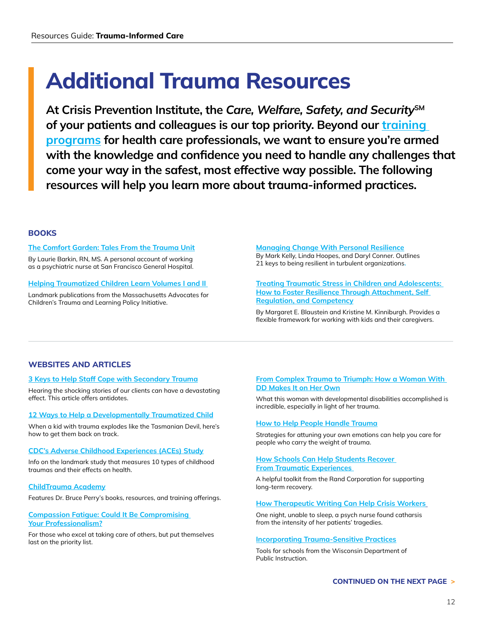# **Additional Trauma Resources**

At Crisis Prevention Institute, the Care, Welfare, Safety, and Security<sup>SM</sup> **of your patients and colleagues is our top priority. Beyond our [training](https://www.crisisprevention.com/Industries/Health-Care-Professionals)  [programs](https://www.crisisprevention.com/Industries/Health-Care-Professionals) for health care professionals, we want to ensure you're armed with the knowledge and confidence you need to handle any challenges that come your way in the safest, most effective way possible. The following resources will help you learn more about trauma-informed practices.** 

#### **BOOKS**

#### **[The Comfort Garden: Tales From the Trauma Unit](https://www.amazon.com/gp/product/0984496548/ref=as_li_ss_il?ie=UTF8&tag=laurbark-20&linkCode=as2&camp=1789&creative=390957&creativeASIN=0984496548)**

By Laurie Barkin, RN, MS. A personal account of working as a psychiatric nurse at San Francisco General Hospital.

**[Helping Traumatized Children Learn Volumes I and II](https://traumasensitiveschools.org/tlpi-publications/)** 

Landmark publications from the Massachusetts Advocates for Children's Trauma and Learning Policy Initiative.

**[Managing Change With Personal Resilience](https://www.amazon.com/Managing-Change-Personal-Resilience-Organizations/dp/0970460643/)**  By Mark Kelly, Linda Hoopes, and Daryl Conner. Outlines 21 keys to being resilient in turbulent organizations**.** 

**[Treating Traumatic Stress in Children and Adolescents:](https://www.guilford.com/books/Treating-Traumatic-Stress-in-Children-and-Adolescents/Blaustein-Kinniburgh/9781462537044)  [How to Foster Resilience Through Attachment, Self](https://www.guilford.com/books/Treating-Traumatic-Stress-in-Children-and-Adolescents/Blaustein-Kinniburgh/9781462537044)  [Regulation, and Competency](https://www.guilford.com/books/Treating-Traumatic-Stress-in-Children-and-Adolescents/Blaustein-Kinniburgh/9781462537044)**

By Margaret E. Blaustein and Kristine M. Kinniburgh. Provides a flexible framework for working with kids and their caregivers.

#### **WEBSITES AND ARTICLES**

#### **[3 Keys to Help Staff Cope with Secondary Trauma](https://www.crisisprevention.com/Blog/November-2016/Secondary-Trauma)**

Hearing the shocking stories of our clients can have a devastating effect. This article offers antidotes.

#### **[12 Ways to Help a Developmentally Traumatized Child](https://www.crisisprevention.com/Blog/July-2013/Holding-Shards-Recommendations-for-Helping-the-Dev)**

When a kid with trauma explodes like the Tasmanian Devil, here's how to get them back on track.

#### **[CDC's Adverse Childhood Experiences \(ACEs\) Study](https://www.cdc.gov/violenceprevention/acestudy/about.html)**

Info on the landmark study that measures 10 types of childhood traumas and their effects on health.

#### **[ChildTrauma Academy](http://childtrauma.org)**

Features Dr. Bruce Perry's books, resources, and training offerings.

#### **[Compassion Fatigue: Could It Be Compromising](https://www.crisisprevention.com/Blog/August-2015/Compassion-Fatigue)  [Your Professionalism?](https://www.crisisprevention.com/Blog/August-2015/Compassion-Fatigue)**

For those who excel at taking care of others, but put themselves last on the priority list.

#### **[From Complex Trauma to Triumph: How a Woman With](https://www.crisisprevention.com/Blog/August-2015/Trauma-to-Triumph)  [DD Makes It on Her Own](https://www.crisisprevention.com/Blog/August-2015/Trauma-to-Triumph)**

What this woman with developmental disabilities accomplished is incredible, especially in light of her trauma.

#### **[How to Help People Handle Trauma](https://www.crisisprevention.com/Blog/December-2014/How-to-Help-People-Handle-Trauma)**

Strategies for attuning your own emotions can help you care for people who carry the weight of trauma.

#### **[How Schools Can Help Students Recover](http://www.rand.org/pubs/technical_reports/TR413.html)  [From Traumatic Experiences](http://www.rand.org/pubs/technical_reports/TR413.html)**

A helpful toolkit from the Rand Corporation for supporting long-term recovery.

#### **[How Therapeutic Writing Can Help Crisis Workers](https://www.crisisprevention.com/Blog/November-2015/How-Therapeutic-Writing-Can-Help-Crisis-Workers)**

One night, unable to sleep, a psych nurse found catharsis from the intensity of her patients' tragedies.

#### **[Incorporating Trauma-Sensitive Practices](http://dpi.wi.gov/sspw/mental-health/trauma/school-resources)**

Tools for schools from the Wisconsin Department of Public Instruction.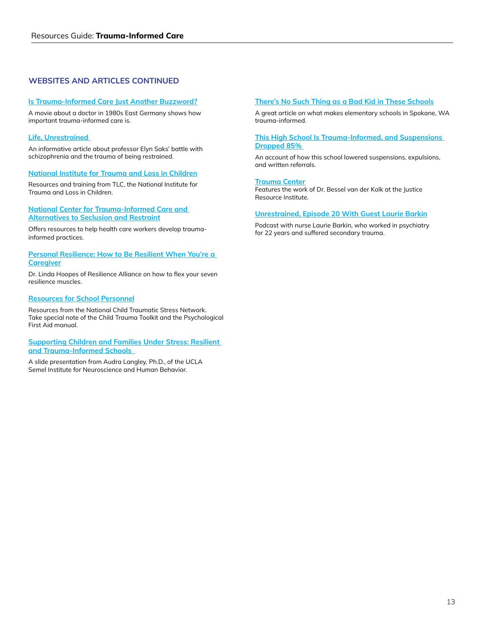#### **WEBSITES AND ARTICLES CONTINUED**

#### **[Is Trauma-Informed Care Just Another Buzzword?](https://www.crisisprevention.com/Blog/June-2014/Trauma-Informed-Care)**

A movie about a doctor in 1980s East Germany shows how important trauma-informed care is.

#### **[Life, Unrestrained](http://www.behavioral.net/article/life-unrestrained)**

An informative article about professor Elyn Saks' battle with schizophrenia and the trauma of being restrained.

#### **[National Institute for Trauma and Loss in Children](https://www.starr.org/training/tlc)**

Resources and training from TLC, the National Institute for Trauma and Loss in Children.

#### **[National Center for Trauma-Informed Care and](https://www.samhsa.gov/nctic)  [Alternatives to Seclusion and Restraint](https://www.samhsa.gov/nctic)**

Offers resources to help health care workers develop traumainformed practices.

#### **[Personal Resilience: How to Be Resilient When You're a](https://www.crisisprevention.com/Blog/March-2016/personal-resilience)  [Caregiver](https://www.crisisprevention.com/Blog/March-2016/personal-resilience)**

Dr. Linda Hoopes of Resilience Alliance on how to flex your seven resilience muscles.

#### **[Resources for School Personnel](http://nctsnet.org/resources/audiences/school-personnel)**

Resources from the National Child Traumatic Stress Network. Take special note of the Child Trauma Toolkit and the Psychological First Aid manual.

#### **[Supporting Children and Families Under Stress: Resilient](http://www.slideshare.net/SKmorris/langley)  [and Trauma-Informed Schools](http://www.slideshare.net/SKmorris/langley)**

A slide presentation from Audra Langley, Ph.D., of the UCLA Semel Institute for Neuroscience and Human Behavior.

#### **[There's No Such Thing as a Bad Kid in These Schools](https://acestoohigh.com/2013/08/20/spokaneschools/)**

A great article on what makes elementary schools in Spokane, WA trauma-informed.

#### **[This High School Is Trauma-Informed, and Suspensions](https://acestoohigh.com/2012/04/23/lincoln-high-school-in-walla-walla-wa-tries-new-approach-to-school-discipline-expulsions-drop-85/)  [Dropped 85%](https://acestoohigh.com/2012/04/23/lincoln-high-school-in-walla-walla-wa-tries-new-approach-to-school-discipline-expulsions-drop-85/)**

An account of how this school lowered suspensions, expulsions, and written referrals.

#### **[Trauma Center](http://www.traumacenter.org)**

Features the work of Dr. Bessel van der Kolk at the Justice Resource Institute.

#### **[Unrestrained, Episode 20 With Guest Laurie Barkin](https://www.crisisprevention.com/Resources/Podcast/Unrestrained/Unrestrained-Episode-20-Guest-Laurie-Barkin)**

Podcast with nurse Laurie Barkin, who worked in psychiatry for 22 years and suffered secondary trauma.